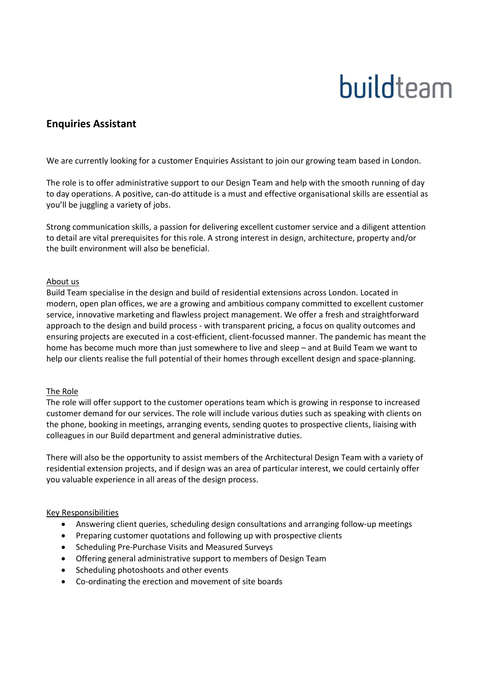# buildteam

# **Enquiries Assistant**

We are currently looking for a customer Enquiries Assistant to join our growing team based in London.

The role is to offer administrative support to our Design Team and help with the smooth running of day to day operations. A positive, can-do attitude is a must and effective organisational skills are essential as you'll be juggling a variety of jobs.

Strong communication skills, a passion for delivering excellent customer service and a diligent attention to detail are vital prerequisites for this role. A strong interest in design, architecture, property and/or the built environment will also be beneficial.

## About us

Build Team specialise in the design and build of residential extensions across London. Located in modern, open plan offices, we are a growing and ambitious company committed to excellent customer service, innovative marketing and flawless project management. We offer a fresh and straightforward approach to the design and build process - with transparent pricing, a focus on quality outcomes and ensuring projects are executed in a cost-efficient, client-focussed manner. The pandemic has meant the home has become much more than just somewhere to live and sleep – and at Build Team we want to help our clients realise the full potential of their homes through excellent design and space-planning.

# The Role

The role will offer support to the customer operations team which is growing in response to increased customer demand for our services. The role will include various duties such as speaking with clients on the phone, booking in meetings, arranging events, sending quotes to prospective clients, liaising with colleagues in our Build department and general administrative duties.

There will also be the opportunity to assist members of the Architectural Design Team with a variety of residential extension projects, and if design was an area of particular interest, we could certainly offer you valuable experience in all areas of the design process.

# Key Responsibilities

- Answering client queries, scheduling design consultations and arranging follow-up meetings
- Preparing customer quotations and following up with prospective clients
- Scheduling Pre-Purchase Visits and Measured Surveys
- Offering general administrative support to members of Design Team
- Scheduling photoshoots and other events
- Co-ordinating the erection and movement of site boards